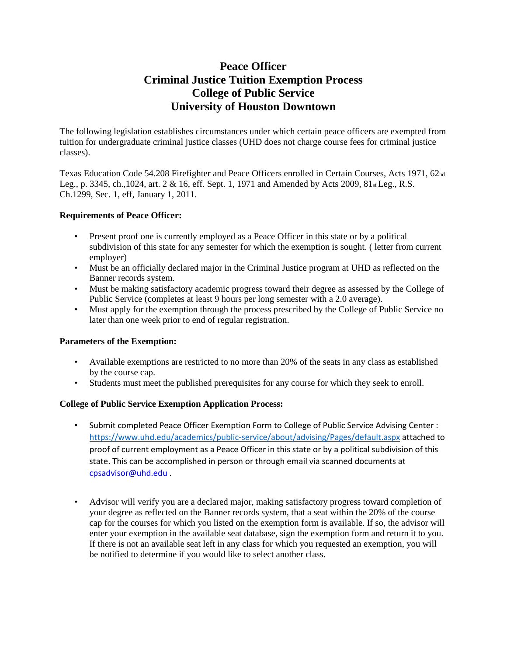## **Peace Officer Criminal Justice Tuition Exemption Process College of Public Service University of Houston Downtown**

The following legislation establishes circumstances under which certain peace officers are exempted from tuition for undergraduate criminal justice classes (UHD does not charge course fees for criminal justice classes).

Texas Education Code 54.208 Firefighter and Peace Officers enrolled in Certain Courses, Acts 1971, 62nd Leg., p. 3345, ch.,1024, art. 2 & 16, eff. Sept. 1, 1971 and Amended by Acts 2009, 81st Leg., R.S. Ch.1299, Sec. 1, eff, January 1, 2011.

## **Requirements of Peace Officer:**

- Present proof one is currently employed as a Peace Officer in this state or by a political subdivision of this state for any semester for which the exemption is sought. ( letter from current employer)
- Must be an officially declared major in the Criminal Justice program at UHD as reflected on the Banner records system.
- Must be making satisfactory academic progress toward their degree as assessed by the College of Public Service (completes at least 9 hours per long semester with a 2.0 average).
- Must apply for the exemption through the process prescribed by the College of Public Service no later than one week prior to end of regular registration.

## **Parameters of the Exemption:**

- Available exemptions are restricted to no more than 20% of the seats in any class as established by the course cap.
- Students must meet the published prerequisites for any course for which they seek to enroll.

## **College of Public Service Exemption Application Process:**

- Submit completed Peace Officer Exemption Form to College of Public Service Advising Center : <https://www.uhd.edu/academics/public-service/about/advising/Pages/default.aspx> attached to proof of current employment as a Peace Officer in this state or by a political subdivision of this state. This can be accomplished in person or through email via scanned documents at cpsadvisor@uhd.edu .
- Advisor will verify you are a declared major, making satisfactory progress toward completion of your degree as reflected on the Banner records system, that a seat within the 20% of the course cap for the courses for which you listed on the exemption form is available. If so, the advisor will enter your exemption in the available seat database, sign the exemption form and return it to you. If there is not an available seat left in any class for which you requested an exemption, you will be notified to determine if you would like to select another class.